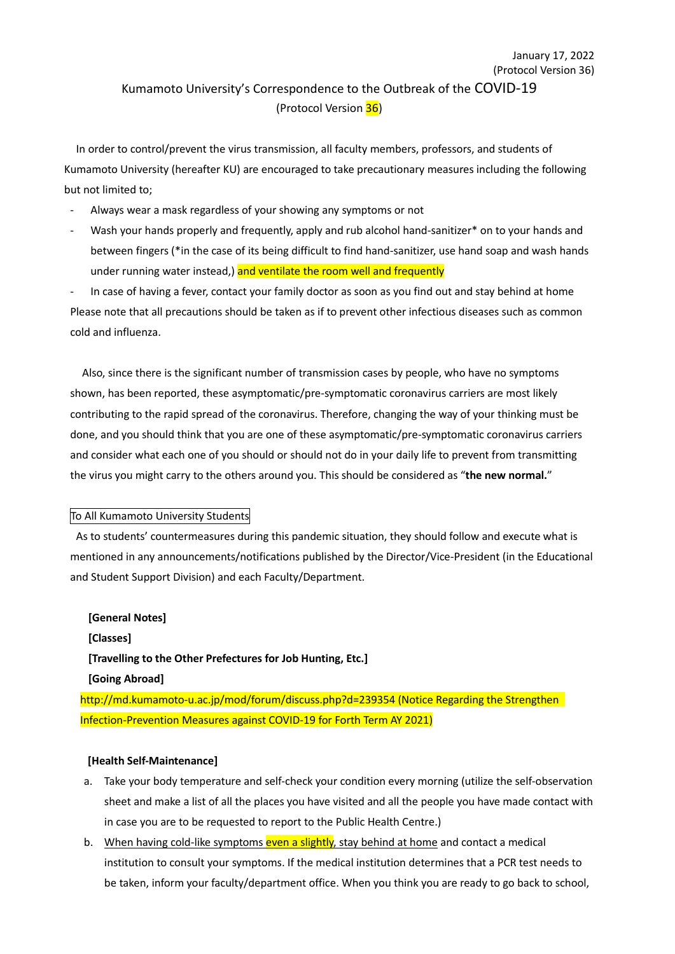# (Protocol Version 36) Kumamoto University's Correspondence to the Outbreak of the COVID-19 (Protocol Version 36)

January 17, 2022

In order to control/prevent the virus transmission, all faculty members, professors, and students of Kumamoto University (hereafter KU) are encouraged to take precautionary measures including the following but not limited to;

- Always wear a mask regardless of your showing any symptoms or not
- Wash your hands properly and frequently, apply and rub alcohol hand-sanitizer\* on to your hands and between fingers (\*in the case of its being difficult to find hand-sanitizer, use hand soap and wash hands under running water instead,) and ventilate the room well and frequently

In case of having a fever, contact your family doctor as soon as you find out and stay behind at home Please note that all precautions should be taken as if to prevent other infectious diseases such as common cold and influenza.

Also, since there is the significant number of transmission cases by people, who have no symptoms shown, has been reported, these asymptomatic/pre-symptomatic coronavirus carriers are most likely contributing to the rapid spread of the coronavirus. Therefore, changing the way of your thinking must be done, and you should think that you are one of these asymptomatic/pre-symptomatic coronavirus carriers and consider what each one of you should or should not do in your daily life to prevent from transmitting the virus you might carry to the others around you. This should be considered as "**the new normal.**"

# To All Kumamoto University Students

As to students' countermeasures during this pandemic situation, they should follow and execute what is mentioned in any announcements/notifications published by the Director/Vice-President (in the Educational and Student Support Division) and each Faculty/Department.

**[General Notes] [Classes] [Travelling to the Other Prefectures for Job Hunting, Etc.] [Going Abroad]** http://md.kumamoto-u.ac.jp/mod/forum/discuss.php?d=239354 (Notice Regarding the Strengthen Infection-Prevention Measures against COVID-19 for Forth Term AY 2021)

#### **[Health Self-Maintenance]**

- a. Take your body temperature and self-check your condition every morning (utilize the self-observation sheet and make a list of all the places you have visited and all the people you have made contact with in case you are to be requested to report to the Public Health Centre.)
- b. When having cold-like symptoms even a slightly, stay behind at home and contact a medical institution to consult your symptoms. If the medical institution determines that a PCR test needs to be taken, inform your faculty/department office. When you think you are ready to go back to school,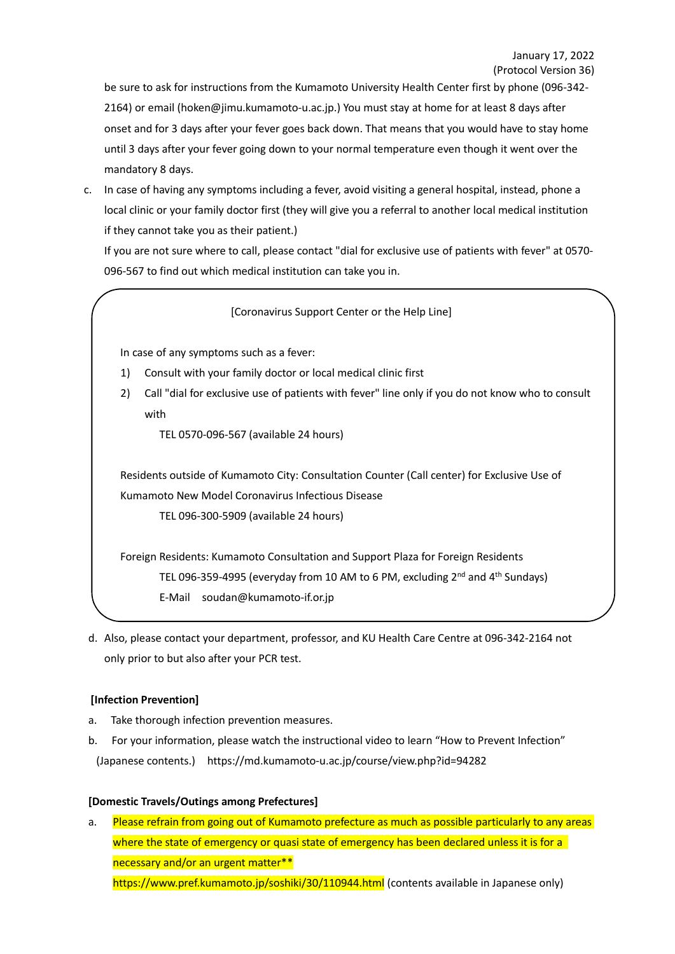be sure to ask for instructions from the Kumamoto University Health Center first by phone (096-342- 2164) or email (hoken@jimu.kumamoto-u.ac.jp.) You must stay at home for at least 8 days after onset and for 3 days after your fever goes back down. That means that you would have to stay home until 3 days after your fever going down to your normal temperature even though it went over the mandatory 8 days.

c. In case of having any symptoms including a fever, avoid visiting a general hospital, instead, phone a local clinic or your family doctor first (they will give you a referral to another local medical institution if they cannot take you as their patient.)

If you are not sure where to call, please contact "dial for exclusive use of patients with fever" at 0570- 096-567 to find out which medical institution can take you in.

# [Coronavirus Support Center or the Help Line]

In case of any symptoms such as a fever:

- 1) Consult with your family doctor or local medical clinic first
- 2) Call "dial for exclusive use of patients with fever" line only if you do not know who to consult with

TEL 0570-096-567 (available 24 hours)

Residents outside of Kumamoto City: Consultation Counter (Call center) for Exclusive Use of Kumamoto New Model Coronavirus Infectious Disease

TEL 096-300-5909 (available 24 hours)

Foreign Residents: Kumamoto Consultation and Support Plaza for Foreign Residents TEL 096-359-4995 (everyday from 10 AM to 6 PM, excluding 2<sup>nd</sup> and 4<sup>th</sup> Sundays) E-Mail soudan@kumamoto-if.or.jp

d. Also, please contact your department, professor, and KU Health Care Centre at 096-342-2164 not only prior to but also after your PCR test.

# **[Infection Prevention]**

- a. Take thorough infection prevention measures.
- b. For your information, please watch the instructional video to learn "How to Prevent Infection" (Japanese contents.) https://md.kumamoto-u.ac.jp/course/view.php?id=94282

# **[Domestic Travels/Outings among Prefectures]**

a. Please refrain from going out of Kumamoto prefecture as much as possible particularly to any areas where the state of emergency or quasi state of emergency has been declared unless it is for a necessary and/or an urgent matter\*\* https://www.pref.kumamoto.jp/soshiki/30/110944.html (contents available in Japanese only)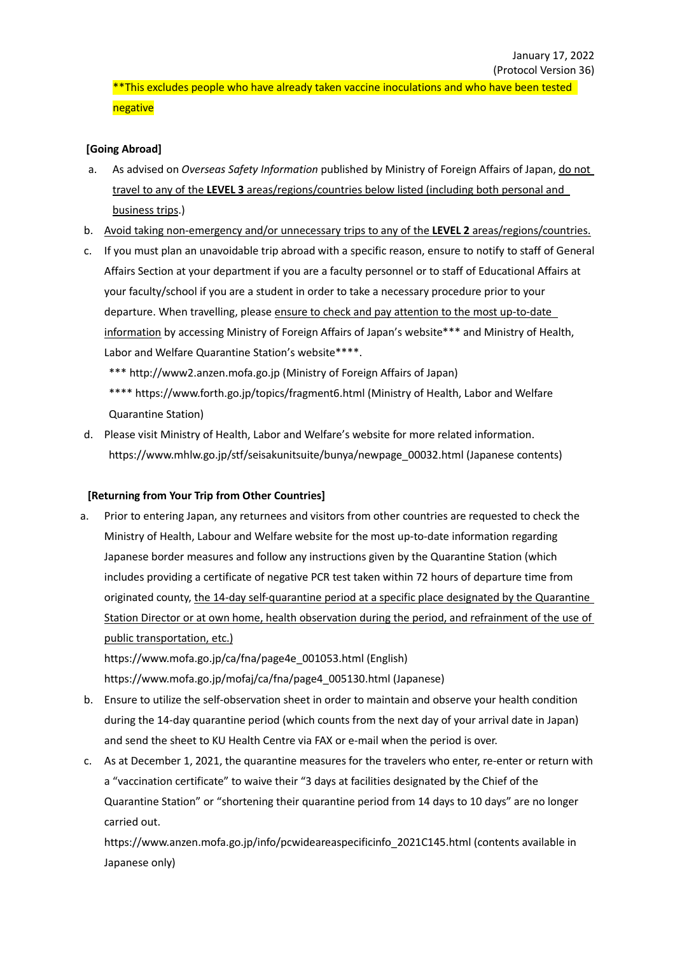\*\*This excludes people who have already taken vaccine inoculations and who have been tested negative

# **[Going Abroad]**

- a. As advised on *Overseas Safety Information* published by Ministry of Foreign Affairs of Japan, do not travel to any of the **LEVEL 3** areas/regions/countries below listed (including both personal and business trips.)
- b. Avoid taking non-emergency and/or unnecessary trips to any of the **LEVEL 2** areas/regions/countries.
- c. If you must plan an unavoidable trip abroad with a specific reason, ensure to notify to staff of General Affairs Section at your department if you are a faculty personnel or to staff of Educational Affairs at your faculty/school if you are a student in order to take a necessary procedure prior to your departure. When travelling, please ensure to check and pay attention to the most up-to-date information by accessing Ministry of Foreign Affairs of Japan's website\*\*\* and Ministry of Health, Labor and Welfare Quarantine Station's website\*\*\*\*.

\*\*\* http://www2.anzen.mofa.go.jp (Ministry of Foreign Affairs of Japan) \*\*\*\* https://www.forth.go.jp/topics/fragment6.html (Ministry of Health, Labor and Welfare

Quarantine Station)

d. Please visit Ministry of Health, Labor and Welfare's website for more related information. https://www.mhlw.go.jp/stf/seisakunitsuite/bunya/newpage\_00032.html (Japanese contents)

# **[Returning from Your Trip from Other Countries]**

a. Prior to entering Japan, any returnees and visitors from other countries are requested to check the Ministry of Health, Labour and Welfare website for the most up-to-date information regarding Japanese border measures and follow any instructions given by the Quarantine Station (which includes providing a certificate of negative PCR test taken within 72 hours of departure time from originated county, the 14-day self-quarantine period at a specific place designated by the Quarantine Station Director or at own home, health observation during the period, and refrainment of the use of public transportation, etc.)

https://www.mofa.go.jp/ca/fna/page4e\_001053.html (English) https://www.mofa.go.jp/mofaj/ca/fna/page4\_005130.html (Japanese)

- b. Ensure to utilize the self-observation sheet in order to maintain and observe your health condition during the 14-day quarantine period (which counts from the next day of your arrival date in Japan) and send the sheet to KU Health Centre via FAX or e-mail when the period is over.
- c. As at December 1, 2021, the quarantine measures for the travelers who enter, re-enter or return with a "vaccination certificate" to waive their "3 days at facilities designated by the Chief of the Quarantine Station" or "shortening their quarantine period from 14 days to 10 days" are no longer carried out.

https://www.anzen.mofa.go.jp/info/pcwideareaspecificinfo\_2021C145.html (contents available in Japanese only)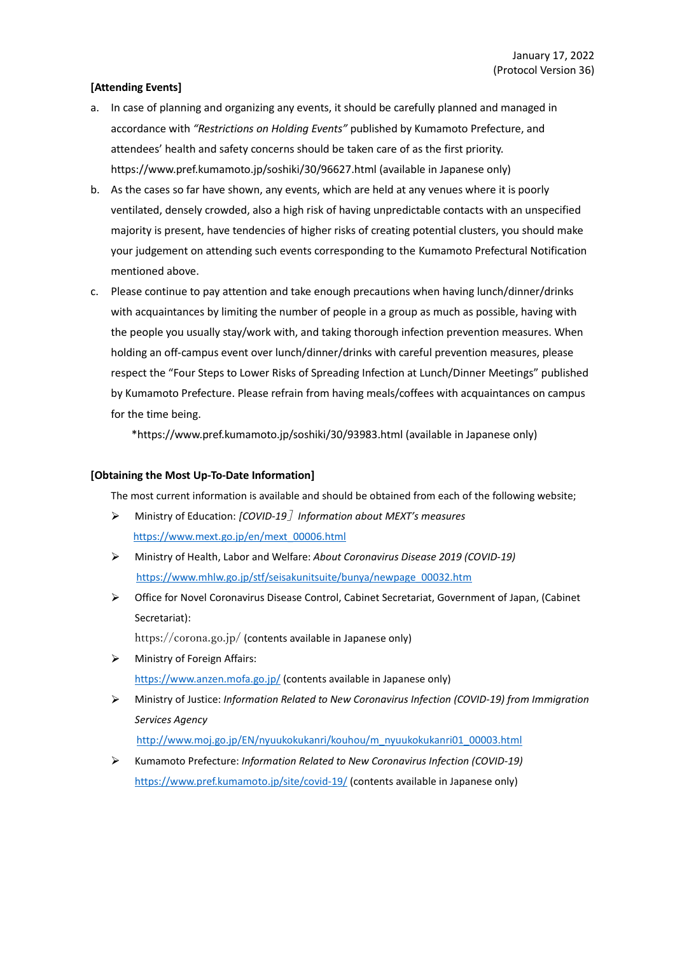# **[Attending Events]**

- a. In case of planning and organizing any events, it should be carefully planned and managed in accordance with *"Restrictions on Holding Events"* published by Kumamoto Prefecture, and attendees' health and safety concerns should be taken care of as the first priority. https://www.pref.kumamoto.jp/soshiki/30/96627.html (available in Japanese only)
- b. As the cases so far have shown, any events, which are held at any venues where it is poorly ventilated, densely crowded, also a high risk of having unpredictable contacts with an unspecified majority is present, have tendencies of higher risks of creating potential clusters, you should make your judgement on attending such events corresponding to the Kumamoto Prefectural Notification mentioned above.
- c. Please continue to pay attention and take enough precautions when having lunch/dinner/drinks with acquaintances by limiting the number of people in a group as much as possible, having with the people you usually stay/work with, and taking thorough infection prevention measures. When holding an off-campus event over lunch/dinner/drinks with careful prevention measures, please respect the "Four Steps to Lower Risks of Spreading Infection at Lunch/Dinner Meetings" published by Kumamoto Prefecture. Please refrain from having meals/coffees with acquaintances on campus for the time being.

\*https://www.pref.kumamoto.jp/soshiki/30/93983.html (available in Japanese only)

#### **[Obtaining the Most Up-To-Date Information]**

The most current information is available and should be obtained from each of the following website;

- Ministry of Education: *[COVID-19*]*Information about MEXT's measures*  $\blacktriangleright$ https://www.mext.go.jp/en/mext\_00006.html
- $\blacktriangleright$ Ministry of Health, Labor and Welfare: *About Coronavirus Disease 2019 (COVID-19)* https://www.mhlw.go.jp/stf/seisakunitsuite/bunya/newpage\_00032.htm
- Office for Novel Coronavirus Disease Control, Cabinet Secretariat, Government of Japan, (Cabinet ↘ Secretariat):

https://corona.go.jp/ (contents available in Japanese only)

- $\blacktriangleright$ Ministry of Foreign Affairs: https://www.anzen.mofa.go.jp/ (contents available in Japanese only)
- Ministry of Justice: *Information Related to New Coronavirus Infection (COVID-19) from Immigration*  $\blacktriangleright$ *Services Agency* http://www.moj.go.jp/EN/nyuukokukanri/kouhou/m\_nyuukokukanri01\_00003.html
- $\blacktriangleright$ Kumamoto Prefecture: *Information Related to New Coronavirus Infection (COVID-19)* https://www.pref.kumamoto.jp/site/covid-19/ (contents available in Japanese only)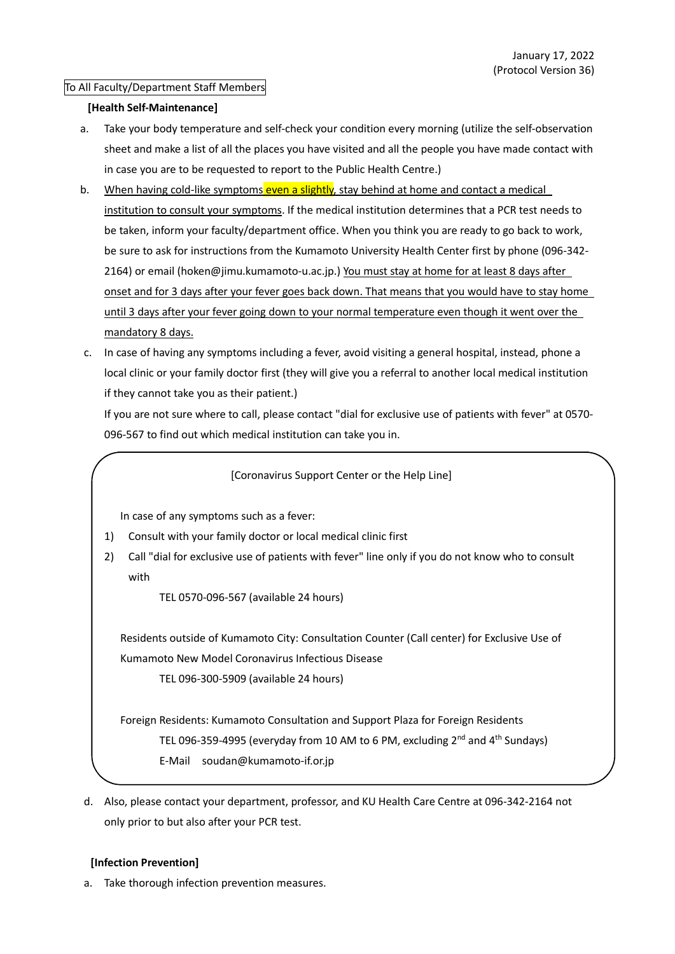# To All Faculty/Department Staff Members

# **[Health Self-Maintenance]**

- a. Take your body temperature and self-check your condition every morning (utilize the self-observation sheet and make a list of all the places you have visited and all the people you have made contact with in case you are to be requested to report to the Public Health Centre.)
- b. When having cold-like symptoms even a slightly, stay behind at home and contact a medical institution to consult your symptoms. If the medical institution determines that a PCR test needs to be taken, inform your faculty/department office. When you think you are ready to go back to work, be sure to ask for instructions from the Kumamoto University Health Center first by phone (096-342- 2164) or email (hoken@jimu.kumamoto-u.ac.jp.) You must stay at home for at least 8 days after onset and for 3 days after your fever goes back down. That means that you would have to stay home until 3 days after your fever going down to your normal temperature even though it went over the mandatory 8 days.
- c. In case of having any symptoms including a fever, avoid visiting a general hospital, instead, phone a local clinic or your family doctor first (they will give you a referral to another local medical institution if they cannot take you as their patient.)

If you are not sure where to call, please contact "dial for exclusive use of patients with fever" at 0570- 096-567 to find out which medical institution can take you in.

[Coronavirus Support Center or the Help Line]

In case of any symptoms such as a fever:

- 1) Consult with your family doctor or local medical clinic first
- 2) Call "dial for exclusive use of patients with fever" line only if you do not know who to consult with

TEL 0570-096-567 (available 24 hours)

Residents outside of Kumamoto City: Consultation Counter (Call center) for Exclusive Use of Kumamoto New Model Coronavirus Infectious Disease

TEL 096-300-5909 (available 24 hours)

Foreign Residents: Kumamoto Consultation and Support Plaza for Foreign Residents TEL 096-359-4995 (everyday from 10 AM to 6 PM, excluding 2<sup>nd</sup> and 4<sup>th</sup> Sundays) E-Mail soudan@kumamoto-if.or.jp

d. Also, please contact your department, professor, and KU Health Care Centre at 096-342-2164 not only prior to but also after your PCR test.

# **[Infection Prevention]**

a. Take thorough infection prevention measures.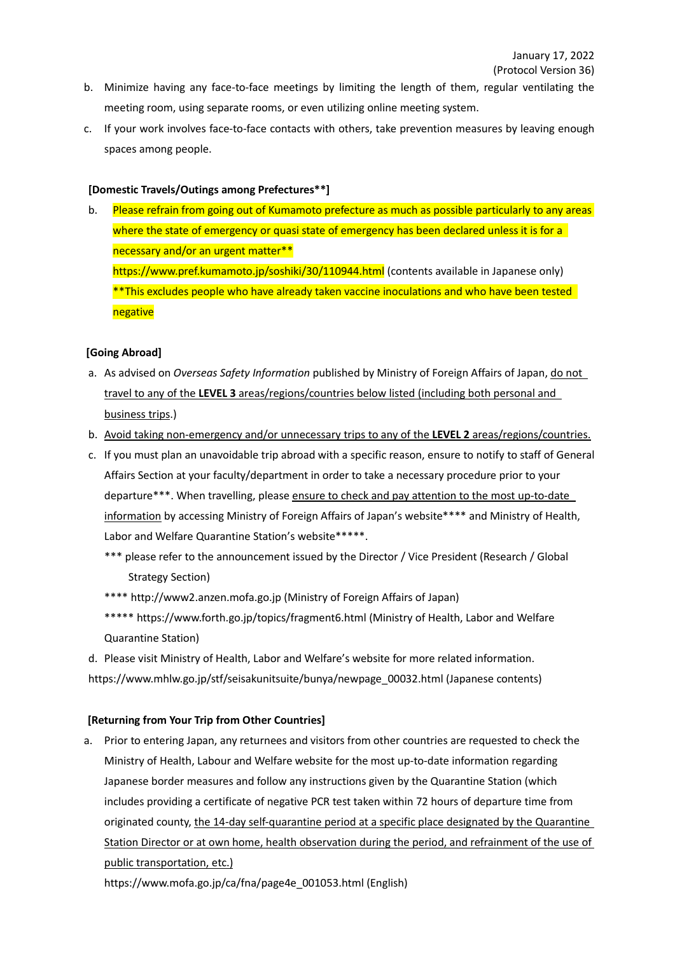- b. Minimize having any face-to-face meetings by limiting the length of them, regular ventilating the meeting room, using separate rooms, or even utilizing online meeting system.
- c. If your work involves face-to-face contacts with others, take prevention measures by leaving enough spaces among people.

# **[Domestic Travels/Outings among Prefectures\*\*]**

b. Please refrain from going out of Kumamoto prefecture as much as possible particularly to any areas where the state of emergency or quasi state of emergency has been declared unless it is for a necessary and/or an urgent matter\*\* https://www.pref.kumamoto.jp/soshiki/30/110944.html (contents available in Japanese only) \*\*This excludes people who have already taken vaccine inoculations and who have been tested negative

#### **[Going Abroad]**

- a. As advised on *Overseas Safety Information* published by Ministry of Foreign Affairs of Japan, do not travel to any of the **LEVEL 3** areas/regions/countries below listed (including both personal and business trips.)
- b. Avoid taking non-emergency and/or unnecessary trips to any of the **LEVEL 2** areas/regions/countries.
- c. If you must plan an unavoidable trip abroad with a specific reason, ensure to notify to staff of General Affairs Section at your faculty/department in order to take a necessary procedure prior to your departure\*\*\*. When travelling, please ensure to check and pay attention to the most up-to-date information by accessing Ministry of Foreign Affairs of Japan's website\*\*\*\* and Ministry of Health, Labor and Welfare Quarantine Station's website\*\*\*\*\*.
	- \*\*\* please refer to the announcement issued by the Director / Vice President (Research / Global Strategy Section)
	- \*\*\*\* http://www2.anzen.mofa.go.jp (Ministry of Foreign Affairs of Japan)
	- \*\*\*\*\* https://www.forth.go.jp/topics/fragment6.html (Ministry of Health, Labor and Welfare Quarantine Station)
- d. Please visit Ministry of Health, Labor and Welfare's website for more related information. https://www.mhlw.go.jp/stf/seisakunitsuite/bunya/newpage\_00032.html (Japanese contents)

#### **[Returning from Your Trip from Other Countries]**

a. Prior to entering Japan, any returnees and visitors from other countries are requested to check the Ministry of Health, Labour and Welfare website for the most up-to-date information regarding Japanese border measures and follow any instructions given by the Quarantine Station (which includes providing a certificate of negative PCR test taken within 72 hours of departure time from originated county, the 14-day self-quarantine period at a specific place designated by the Quarantine Station Director or at own home, health observation during the period, and refrainment of the use of public transportation, etc.)

https://www.mofa.go.jp/ca/fna/page4e\_001053.html (English)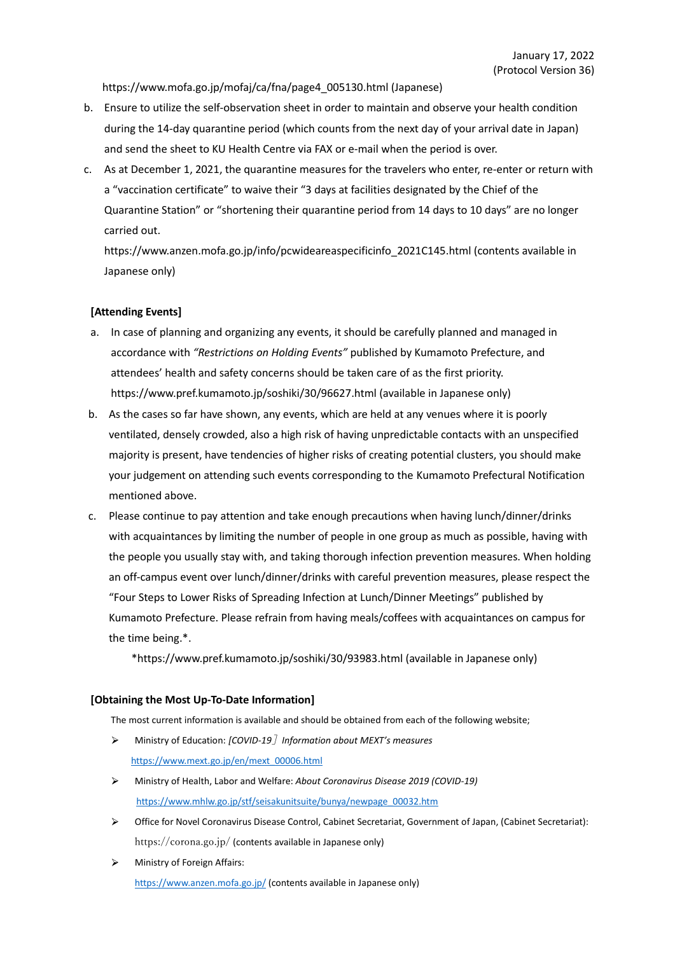https://www.mofa.go.jp/mofaj/ca/fna/page4\_005130.html (Japanese)

- b. Ensure to utilize the self-observation sheet in order to maintain and observe your health condition during the 14-day quarantine period (which counts from the next day of your arrival date in Japan) and send the sheet to KU Health Centre via FAX or e-mail when the period is over.
- c. As at December 1, 2021, the quarantine measures for the travelers who enter, re-enter or return with a "vaccination certificate" to waive their "3 days at facilities designated by the Chief of the Quarantine Station" or "shortening their quarantine period from 14 days to 10 days" are no longer carried out.

https://www.anzen.mofa.go.jp/info/pcwideareaspecificinfo\_2021C145.html (contents available in Japanese only)

#### **[Attending Events]**

- a. In case of planning and organizing any events, it should be carefully planned and managed in accordance with *"Restrictions on Holding Events"* published by Kumamoto Prefecture, and attendees' health and safety concerns should be taken care of as the first priority. https://www.pref.kumamoto.jp/soshiki/30/96627.html (available in Japanese only)
- b. As the cases so far have shown, any events, which are held at any venues where it is poorly ventilated, densely crowded, also a high risk of having unpredictable contacts with an unspecified majority is present, have tendencies of higher risks of creating potential clusters, you should make your judgement on attending such events corresponding to the Kumamoto Prefectural Notification mentioned above.
- c. Please continue to pay attention and take enough precautions when having lunch/dinner/drinks with acquaintances by limiting the number of people in one group as much as possible, having with the people you usually stay with, and taking thorough infection prevention measures. When holding an off-campus event over lunch/dinner/drinks with careful prevention measures, please respect the "Four Steps to Lower Risks of Spreading Infection at Lunch/Dinner Meetings" published by Kumamoto Prefecture. Please refrain from having meals/coffees with acquaintances on campus for the time being.\*.

\*https://www.pref.kumamoto.jp/soshiki/30/93983.html (available in Japanese only)

#### **[Obtaining the Most Up-To-Date Information]**

The most current information is available and should be obtained from each of the following website;

- $\blacktriangleright$ Ministry of Education: *[COVID-19*]*Information about MEXT's measures* https://www.mext.go.jp/en/mext\_00006.html
- Ministry of Health, Labor and Welfare: *About Coronavirus Disease 2019 (COVID-19)*  $\Delta$ https://www.mhlw.go.jp/stf/seisakunitsuite/bunya/newpage\_00032.htm
- $\blacktriangleleft$ Office for Novel Coronavirus Disease Control, Cabinet Secretariat, Government of Japan, (Cabinet Secretariat): https://corona.go.jp/ (contents available in Japanese only)
- $\blacktriangleright$ Ministry of Foreign Affairs: https://www.anzen.mofa.go.jp/ (contents available in Japanese only)